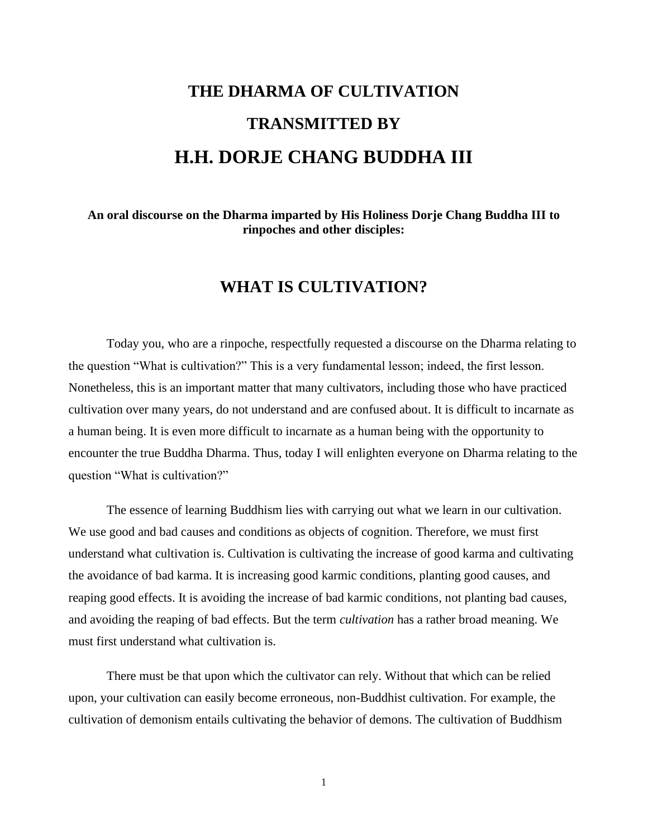## **THE DHARMA OF CULTIVATION TRANSMITTED BY H.H. DORJE CHANG BUDDHA III**

**An oral discourse on the Dharma imparted by His Holiness Dorje Chang Buddha III to rinpoches and other disciples:**

## **WHAT IS CULTIVATION?**

Today you, who are a rinpoche, respectfully requested a discourse on the Dharma relating to the question "What is cultivation?" This is a very fundamental lesson; indeed, the first lesson. Nonetheless, this is an important matter that many cultivators, including those who have practiced cultivation over many years, do not understand and are confused about. It is difficult to incarnate as a human being. It is even more difficult to incarnate as a human being with the opportunity to encounter the true Buddha Dharma. Thus, today I will enlighten everyone on Dharma relating to the question "What is cultivation?"

The essence of learning Buddhism lies with carrying out what we learn in our cultivation. We use good and bad causes and conditions as objects of cognition. Therefore, we must first understand what cultivation is. Cultivation is cultivating the increase of good karma and cultivating the avoidance of bad karma. It is increasing good karmic conditions, planting good causes, and reaping good effects. It is avoiding the increase of bad karmic conditions, not planting bad causes, and avoiding the reaping of bad effects. But the term *cultivation* has a rather broad meaning. We must first understand what cultivation is.

There must be that upon which the cultivator can rely. Without that which can be relied upon, your cultivation can easily become erroneous, non-Buddhist cultivation. For example, the cultivation of demonism entails cultivating the behavior of demons. The cultivation of Buddhism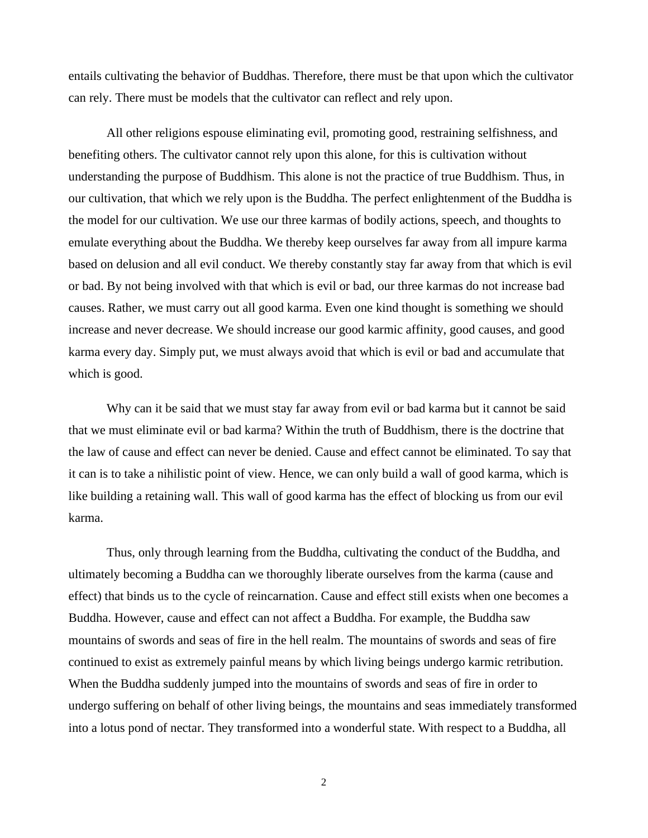entails cultivating the behavior of Buddhas. Therefore, there must be that upon which the cultivator can rely. There must be models that the cultivator can reflect and rely upon.

All other religions espouse eliminating evil, promoting good, restraining selfishness, and benefiting others. The cultivator cannot rely upon this alone, for this is cultivation without understanding the purpose of Buddhism. This alone is not the practice of true Buddhism. Thus, in our cultivation, that which we rely upon is the Buddha. The perfect enlightenment of the Buddha is the model for our cultivation. We use our three karmas of bodily actions, speech, and thoughts to emulate everything about the Buddha. We thereby keep ourselves far away from all impure karma based on delusion and all evil conduct. We thereby constantly stay far away from that which is evil or bad. By not being involved with that which is evil or bad, our three karmas do not increase bad causes. Rather, we must carry out all good karma. Even one kind thought is something we should increase and never decrease. We should increase our good karmic affinity, good causes, and good karma every day. Simply put, we must always avoid that which is evil or bad and accumulate that which is good.

Why can it be said that we must stay far away from evil or bad karma but it cannot be said that we must eliminate evil or bad karma? Within the truth of Buddhism, there is the doctrine that the law of cause and effect can never be denied. Cause and effect cannot be eliminated. To say that it can is to take a nihilistic point of view. Hence, we can only build a wall of good karma, which is like building a retaining wall. This wall of good karma has the effect of blocking us from our evil karma.

Thus, only through learning from the Buddha, cultivating the conduct of the Buddha, and ultimately becoming a Buddha can we thoroughly liberate ourselves from the karma (cause and effect) that binds us to the cycle of reincarnation. Cause and effect still exists when one becomes a Buddha. However, cause and effect can not affect a Buddha. For example, the Buddha saw mountains of swords and seas of fire in the hell realm. The mountains of swords and seas of fire continued to exist as extremely painful means by which living beings undergo karmic retribution. When the Buddha suddenly jumped into the mountains of swords and seas of fire in order to undergo suffering on behalf of other living beings, the mountains and seas immediately transformed into a lotus pond of nectar. They transformed into a wonderful state. With respect to a Buddha, all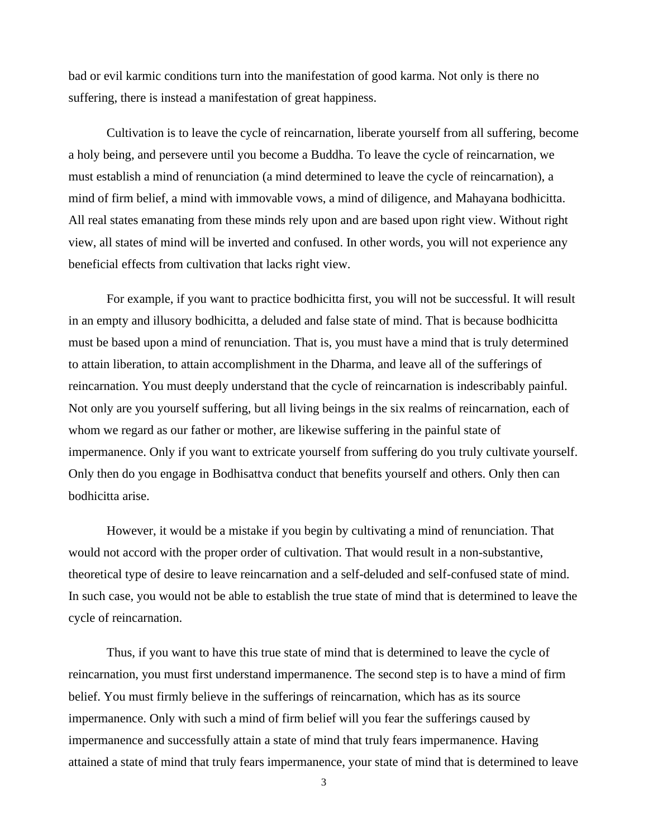bad or evil karmic conditions turn into the manifestation of good karma. Not only is there no suffering, there is instead a manifestation of great happiness.

Cultivation is to leave the cycle of reincarnation, liberate yourself from all suffering, become a holy being, and persevere until you become a Buddha. To leave the cycle of reincarnation, we must establish a mind of renunciation (a mind determined to leave the cycle of reincarnation), a mind of firm belief, a mind with immovable vows, a mind of diligence, and Mahayana bodhicitta. All real states emanating from these minds rely upon and are based upon right view. Without right view, all states of mind will be inverted and confused. In other words, you will not experience any beneficial effects from cultivation that lacks right view.

For example, if you want to practice bodhicitta first, you will not be successful. It will result in an empty and illusory bodhicitta, a deluded and false state of mind. That is because bodhicitta must be based upon a mind of renunciation. That is, you must have a mind that is truly determined to attain liberation, to attain accomplishment in the Dharma, and leave all of the sufferings of reincarnation. You must deeply understand that the cycle of reincarnation is indescribably painful. Not only are you yourself suffering, but all living beings in the six realms of reincarnation, each of whom we regard as our father or mother, are likewise suffering in the painful state of impermanence. Only if you want to extricate yourself from suffering do you truly cultivate yourself. Only then do you engage in Bodhisattva conduct that benefits yourself and others. Only then can bodhicitta arise.

However, it would be a mistake if you begin by cultivating a mind of renunciation. That would not accord with the proper order of cultivation. That would result in a non-substantive, theoretical type of desire to leave reincarnation and a self-deluded and self-confused state of mind. In such case, you would not be able to establish the true state of mind that is determined to leave the cycle of reincarnation.

Thus, if you want to have this true state of mind that is determined to leave the cycle of reincarnation, you must first understand impermanence. The second step is to have a mind of firm belief. You must firmly believe in the sufferings of reincarnation, which has as its source impermanence. Only with such a mind of firm belief will you fear the sufferings caused by impermanence and successfully attain a state of mind that truly fears impermanence. Having attained a state of mind that truly fears impermanence, your state of mind that is determined to leave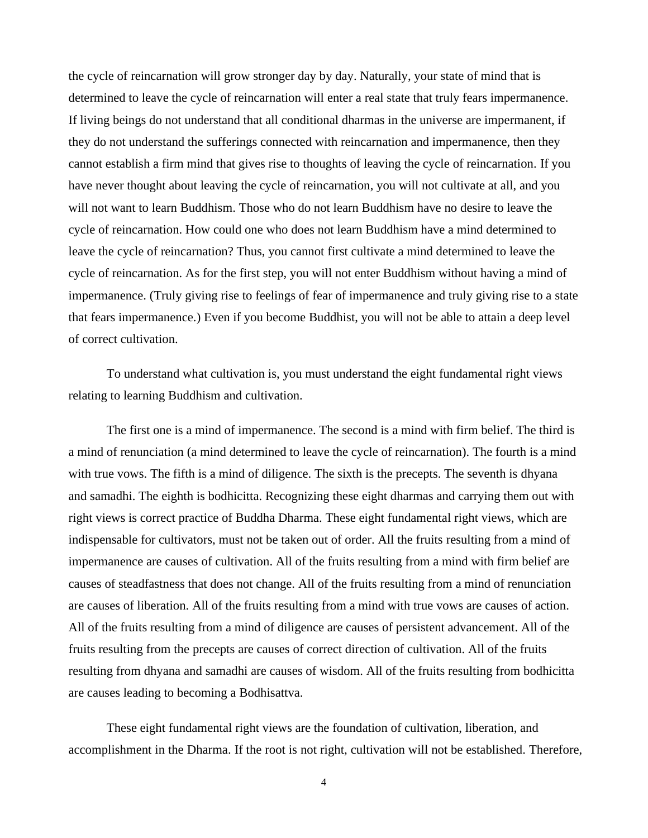the cycle of reincarnation will grow stronger day by day. Naturally, your state of mind that is determined to leave the cycle of reincarnation will enter a real state that truly fears impermanence. If living beings do not understand that all conditional dharmas in the universe are impermanent, if they do not understand the sufferings connected with reincarnation and impermanence, then they cannot establish a firm mind that gives rise to thoughts of leaving the cycle of reincarnation. If you have never thought about leaving the cycle of reincarnation, you will not cultivate at all, and you will not want to learn Buddhism. Those who do not learn Buddhism have no desire to leave the cycle of reincarnation. How could one who does not learn Buddhism have a mind determined to leave the cycle of reincarnation? Thus, you cannot first cultivate a mind determined to leave the cycle of reincarnation. As for the first step, you will not enter Buddhism without having a mind of impermanence. (Truly giving rise to feelings of fear of impermanence and truly giving rise to a state that fears impermanence.) Even if you become Buddhist, you will not be able to attain a deep level of correct cultivation.

To understand what cultivation is, you must understand the eight fundamental right views relating to learning Buddhism and cultivation.

The first one is a mind of impermanence. The second is a mind with firm belief. The third is a mind of renunciation (a mind determined to leave the cycle of reincarnation). The fourth is a mind with true vows. The fifth is a mind of diligence. The sixth is the precepts. The seventh is dhyana and samadhi. The eighth is bodhicitta. Recognizing these eight dharmas and carrying them out with right views is correct practice of Buddha Dharma. These eight fundamental right views, which are indispensable for cultivators, must not be taken out of order. All the fruits resulting from a mind of impermanence are causes of cultivation. All of the fruits resulting from a mind with firm belief are causes of steadfastness that does not change. All of the fruits resulting from a mind of renunciation are causes of liberation. All of the fruits resulting from a mind with true vows are causes of action. All of the fruits resulting from a mind of diligence are causes of persistent advancement. All of the fruits resulting from the precepts are causes of correct direction of cultivation. All of the fruits resulting from dhyana and samadhi are causes of wisdom. All of the fruits resulting from bodhicitta are causes leading to becoming a Bodhisattva.

These eight fundamental right views are the foundation of cultivation, liberation, and accomplishment in the Dharma. If the root is not right, cultivation will not be established. Therefore,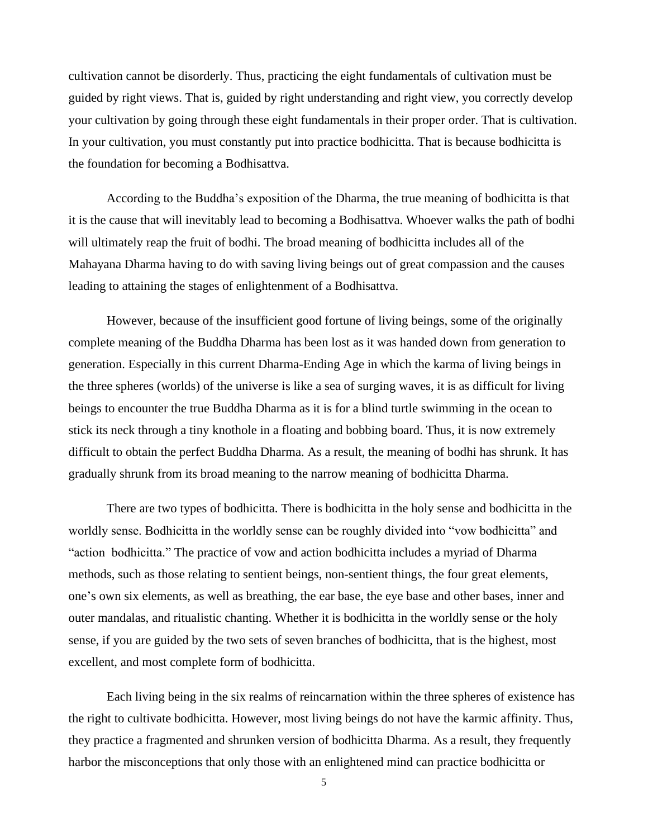cultivation cannot be disorderly. Thus, practicing the eight fundamentals of cultivation must be guided by right views. That is, guided by right understanding and right view, you correctly develop your cultivation by going through these eight fundamentals in their proper order. That is cultivation. In your cultivation, you must constantly put into practice bodhicitta. That is because bodhicitta is the foundation for becoming a Bodhisattva.

According to the Buddha's exposition of the Dharma, the true meaning of bodhicitta is that it is the cause that will inevitably lead to becoming a Bodhisattva. Whoever walks the path of bodhi will ultimately reap the fruit of bodhi. The broad meaning of bodhicitta includes all of the Mahayana Dharma having to do with saving living beings out of great compassion and the causes leading to attaining the stages of enlightenment of a Bodhisattva.

However, because of the insufficient good fortune of living beings, some of the originally complete meaning of the Buddha Dharma has been lost as it was handed down from generation to generation. Especially in this current Dharma-Ending Age in which the karma of living beings in the three spheres (worlds) of the universe is like a sea of surging waves, it is as difficult for living beings to encounter the true Buddha Dharma as it is for a blind turtle swimming in the ocean to stick its neck through a tiny knothole in a floating and bobbing board. Thus, it is now extremely difficult to obtain the perfect Buddha Dharma. As a result, the meaning of bodhi has shrunk. It has gradually shrunk from its broad meaning to the narrow meaning of bodhicitta Dharma.

There are two types of bodhicitta. There is bodhicitta in the holy sense and bodhicitta in the worldly sense. Bodhicitta in the worldly sense can be roughly divided into "vow bodhicitta" and "action bodhicitta." The practice of vow and action bodhicitta includes a myriad of Dharma methods, such as those relating to sentient beings, non-sentient things, the four great elements, one's own six elements, as well as breathing, the ear base, the eye base and other bases, inner and outer mandalas, and ritualistic chanting. Whether it is bodhicitta in the worldly sense or the holy sense, if you are guided by the two sets of seven branches of bodhicitta, that is the highest, most excellent, and most complete form of bodhicitta.

Each living being in the six realms of reincarnation within the three spheres of existence has the right to cultivate bodhicitta. However, most living beings do not have the karmic affinity. Thus, they practice a fragmented and shrunken version of bodhicitta Dharma. As a result, they frequently harbor the misconceptions that only those with an enlightened mind can practice bodhicitta or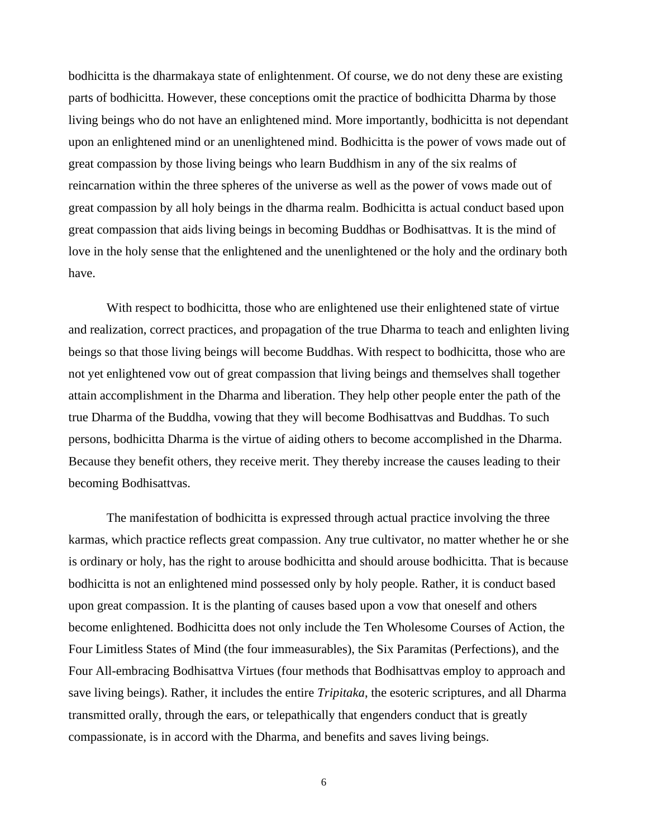bodhicitta is the dharmakaya state of enlightenment. Of course, we do not deny these are existing parts of bodhicitta. However, these conceptions omit the practice of bodhicitta Dharma by those living beings who do not have an enlightened mind. More importantly, bodhicitta is not dependant upon an enlightened mind or an unenlightened mind. Bodhicitta is the power of vows made out of great compassion by those living beings who learn Buddhism in any of the six realms of reincarnation within the three spheres of the universe as well as the power of vows made out of great compassion by all holy beings in the dharma realm. Bodhicitta is actual conduct based upon great compassion that aids living beings in becoming Buddhas or Bodhisattvas. It is the mind of love in the holy sense that the enlightened and the unenlightened or the holy and the ordinary both have.

With respect to bodhicitta, those who are enlightened use their enlightened state of virtue and realization, correct practices, and propagation of the true Dharma to teach and enlighten living beings so that those living beings will become Buddhas. With respect to bodhicitta, those who are not yet enlightened vow out of great compassion that living beings and themselves shall together attain accomplishment in the Dharma and liberation. They help other people enter the path of the true Dharma of the Buddha, vowing that they will become Bodhisattvas and Buddhas. To such persons, bodhicitta Dharma is the virtue of aiding others to become accomplished in the Dharma. Because they benefit others, they receive merit. They thereby increase the causes leading to their becoming Bodhisattvas.

The manifestation of bodhicitta is expressed through actual practice involving the three karmas, which practice reflects great compassion. Any true cultivator, no matter whether he or she is ordinary or holy, has the right to arouse bodhicitta and should arouse bodhicitta. That is because bodhicitta is not an enlightened mind possessed only by holy people. Rather, it is conduct based upon great compassion. It is the planting of causes based upon a vow that oneself and others become enlightened. Bodhicitta does not only include the Ten Wholesome Courses of Action, the Four Limitless States of Mind (the four immeasurables), the Six Paramitas (Perfections), and the Four All-embracing Bodhisattva Virtues (four methods that Bodhisattvas employ to approach and save living beings). Rather, it includes the entire *Tripitaka*, the esoteric scriptures, and all Dharma transmitted orally, through the ears, or telepathically that engenders conduct that is greatly compassionate, is in accord with the Dharma, and benefits and saves living beings.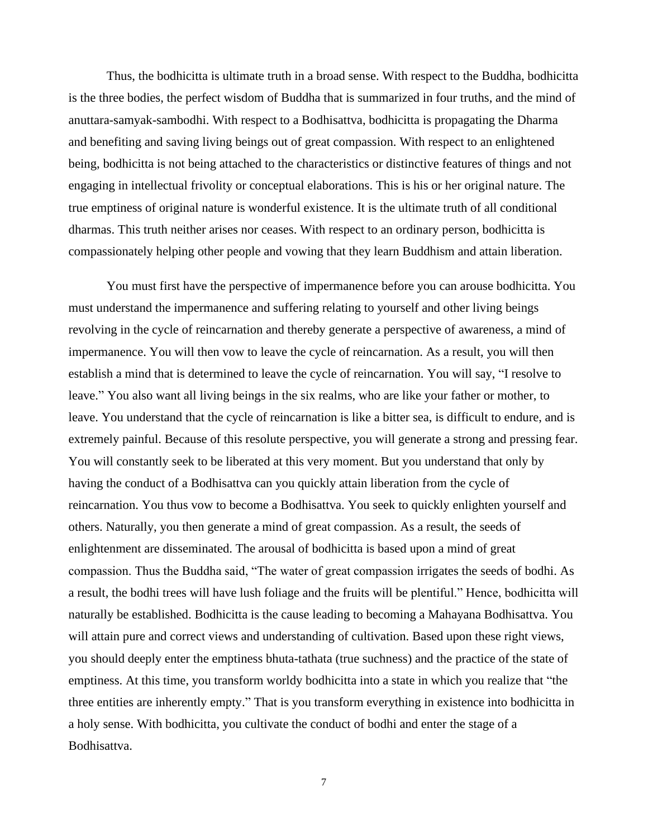Thus, the bodhicitta is ultimate truth in a broad sense. With respect to the Buddha, bodhicitta is the three bodies, the perfect wisdom of Buddha that is summarized in four truths, and the mind of anuttara-samyak-sambodhi. With respect to a Bodhisattva, bodhicitta is propagating the Dharma and benefiting and saving living beings out of great compassion. With respect to an enlightened being, bodhicitta is not being attached to the characteristics or distinctive features of things and not engaging in intellectual frivolity or conceptual elaborations. This is his or her original nature. The true emptiness of original nature is wonderful existence. It is the ultimate truth of all conditional dharmas. This truth neither arises nor ceases. With respect to an ordinary person, bodhicitta is compassionately helping other people and vowing that they learn Buddhism and attain liberation.

You must first have the perspective of impermanence before you can arouse bodhicitta. You must understand the impermanence and suffering relating to yourself and other living beings revolving in the cycle of reincarnation and thereby generate a perspective of awareness, a mind of impermanence. You will then vow to leave the cycle of reincarnation. As a result, you will then establish a mind that is determined to leave the cycle of reincarnation. You will say, "I resolve to leave." You also want all living beings in the six realms, who are like your father or mother, to leave. You understand that the cycle of reincarnation is like a bitter sea, is difficult to endure, and is extremely painful. Because of this resolute perspective, you will generate a strong and pressing fear. You will constantly seek to be liberated at this very moment. But you understand that only by having the conduct of a Bodhisattva can you quickly attain liberation from the cycle of reincarnation. You thus vow to become a Bodhisattva. You seek to quickly enlighten yourself and others. Naturally, you then generate a mind of great compassion. As a result, the seeds of enlightenment are disseminated. The arousal of bodhicitta is based upon a mind of great compassion. Thus the Buddha said, "The water of great compassion irrigates the seeds of bodhi. As a result, the bodhi trees will have lush foliage and the fruits will be plentiful." Hence, bodhicitta will naturally be established. Bodhicitta is the cause leading to becoming a Mahayana Bodhisattva. You will attain pure and correct views and understanding of cultivation. Based upon these right views, you should deeply enter the emptiness bhuta-tathata (true suchness) and the practice of the state of emptiness. At this time, you transform worldy bodhicitta into a state in which you realize that "the three entities are inherently empty." That is you transform everything in existence into bodhicitta in a holy sense. With bodhicitta, you cultivate the conduct of bodhi and enter the stage of a Bodhisattva.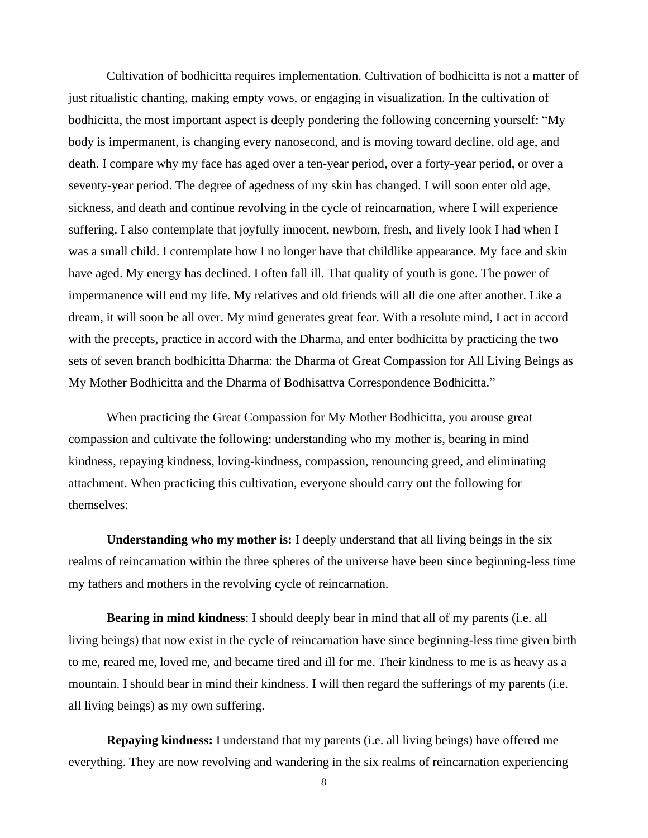Cultivation of bodhicitta requires implementation. Cultivation of bodhicitta is not a matter of just ritualistic chanting, making empty vows, or engaging in visualization. In the cultivation of bodhicitta, the most important aspect is deeply pondering the following concerning yourself: "My body is impermanent, is changing every nanosecond, and is moving toward decline, old age, and death. I compare why my face has aged over a ten-year period, over a forty-year period, or over a seventy-year period. The degree of agedness of my skin has changed. I will soon enter old age, sickness, and death and continue revolving in the cycle of reincarnation, where I will experience suffering. I also contemplate that joyfully innocent, newborn, fresh, and lively look I had when I was a small child. I contemplate how I no longer have that childlike appearance. My face and skin have aged. My energy has declined. I often fall ill. That quality of youth is gone. The power of impermanence will end my life. My relatives and old friends will all die one after another. Like a dream, it will soon be all over. My mind generates great fear. With a resolute mind, I act in accord with the precepts, practice in accord with the Dharma, and enter bodhicitta by practicing the two sets of seven branch bodhicitta Dharma: the Dharma of Great Compassion for All Living Beings as My Mother Bodhicitta and the Dharma of Bodhisattva Correspondence Bodhicitta."

When practicing the Great Compassion for My Mother Bodhicitta, you arouse great compassion and cultivate the following: understanding who my mother is, bearing in mind kindness, repaying kindness, loving-kindness, compassion, renouncing greed, and eliminating attachment. When practicing this cultivation, everyone should carry out the following for themselves:

**Understanding who my mother is:** I deeply understand that all living beings in the six realms of reincarnation within the three spheres of the universe have been since beginning-less time my fathers and mothers in the revolving cycle of reincarnation.

**Bearing in mind kindness**: I should deeply bear in mind that all of my parents (i.e. all living beings) that now exist in the cycle of reincarnation have since beginning-less time given birth to me, reared me, loved me, and became tired and ill for me. Their kindness to me is as heavy as a mountain. I should bear in mind their kindness. I will then regard the sufferings of my parents (i.e. all living beings) as my own suffering.

**Repaying kindness:** I understand that my parents (i.e. all living beings) have offered me everything. They are now revolving and wandering in the six realms of reincarnation experiencing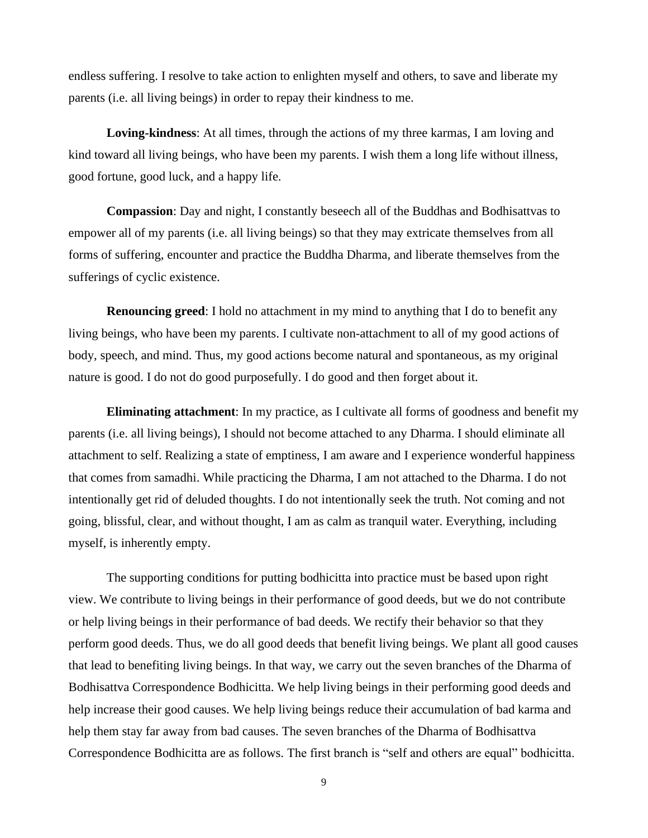endless suffering. I resolve to take action to enlighten myself and others, to save and liberate my parents (i.e. all living beings) in order to repay their kindness to me.

**Loving-kindness**: At all times, through the actions of my three karmas, I am loving and kind toward all living beings, who have been my parents. I wish them a long life without illness, good fortune, good luck, and a happy life.

**Compassion**: Day and night, I constantly beseech all of the Buddhas and Bodhisattvas to empower all of my parents (i.e. all living beings) so that they may extricate themselves from all forms of suffering, encounter and practice the Buddha Dharma, and liberate themselves from the sufferings of cyclic existence.

**Renouncing greed**: I hold no attachment in my mind to anything that I do to benefit any living beings, who have been my parents. I cultivate non-attachment to all of my good actions of body, speech, and mind. Thus, my good actions become natural and spontaneous, as my original nature is good. I do not do good purposefully. I do good and then forget about it.

**Eliminating attachment**: In my practice, as I cultivate all forms of goodness and benefit my parents (i.e. all living beings), I should not become attached to any Dharma. I should eliminate all attachment to self. Realizing a state of emptiness, I am aware and I experience wonderful happiness that comes from samadhi. While practicing the Dharma, I am not attached to the Dharma. I do not intentionally get rid of deluded thoughts. I do not intentionally seek the truth. Not coming and not going, blissful, clear, and without thought, I am as calm as tranquil water. Everything, including myself, is inherently empty.

The supporting conditions for putting bodhicitta into practice must be based upon right view. We contribute to living beings in their performance of good deeds, but we do not contribute or help living beings in their performance of bad deeds. We rectify their behavior so that they perform good deeds. Thus, we do all good deeds that benefit living beings. We plant all good causes that lead to benefiting living beings. In that way, we carry out the seven branches of the Dharma of Bodhisattva Correspondence Bodhicitta. We help living beings in their performing good deeds and help increase their good causes. We help living beings reduce their accumulation of bad karma and help them stay far away from bad causes. The seven branches of the Dharma of Bodhisattva Correspondence Bodhicitta are as follows. The first branch is "self and others are equal" bodhicitta.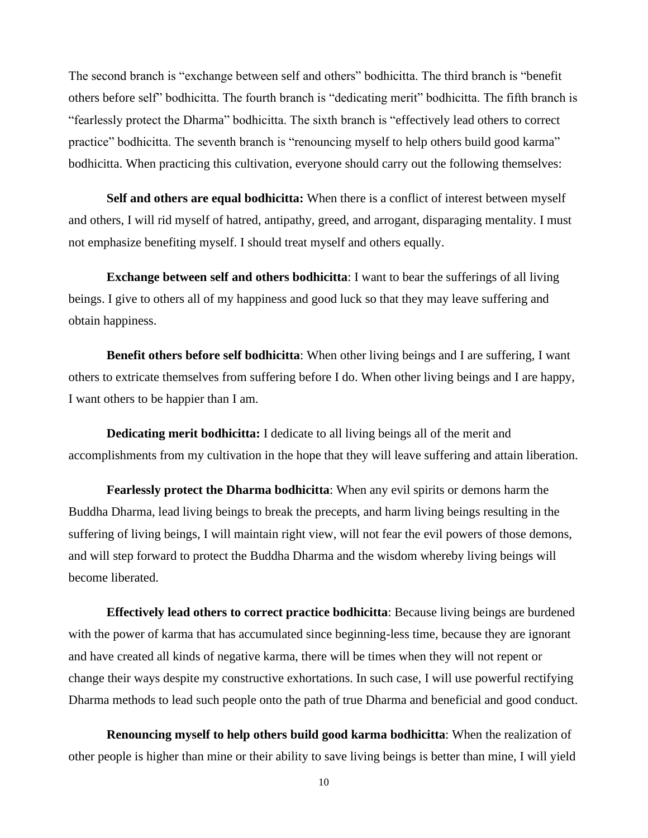The second branch is "exchange between self and others" bodhicitta. The third branch is "benefit others before self" bodhicitta. The fourth branch is "dedicating merit" bodhicitta. The fifth branch is "fearlessly protect the Dharma" bodhicitta. The sixth branch is "effectively lead others to correct practice" bodhicitta. The seventh branch is "renouncing myself to help others build good karma" bodhicitta. When practicing this cultivation, everyone should carry out the following themselves:

**Self and others are equal bodhicitta:** When there is a conflict of interest between myself and others, I will rid myself of hatred, antipathy, greed, and arrogant, disparaging mentality. I must not emphasize benefiting myself. I should treat myself and others equally.

**Exchange between self and others bodhicitta**: I want to bear the sufferings of all living beings. I give to others all of my happiness and good luck so that they may leave suffering and obtain happiness.

**Benefit others before self bodhicitta**: When other living beings and I are suffering, I want others to extricate themselves from suffering before I do. When other living beings and I are happy, I want others to be happier than I am.

**Dedicating merit bodhicitta:** I dedicate to all living beings all of the merit and accomplishments from my cultivation in the hope that they will leave suffering and attain liberation.

**Fearlessly protect the Dharma bodhicitta**: When any evil spirits or demons harm the Buddha Dharma, lead living beings to break the precepts, and harm living beings resulting in the suffering of living beings, I will maintain right view, will not fear the evil powers of those demons, and will step forward to protect the Buddha Dharma and the wisdom whereby living beings will become liberated.

**Effectively lead others to correct practice bodhicitta**: Because living beings are burdened with the power of karma that has accumulated since beginning-less time, because they are ignorant and have created all kinds of negative karma, there will be times when they will not repent or change their ways despite my constructive exhortations. In such case, I will use powerful rectifying Dharma methods to lead such people onto the path of true Dharma and beneficial and good conduct.

**Renouncing myself to help others build good karma bodhicitta**: When the realization of other people is higher than mine or their ability to save living beings is better than mine, I will yield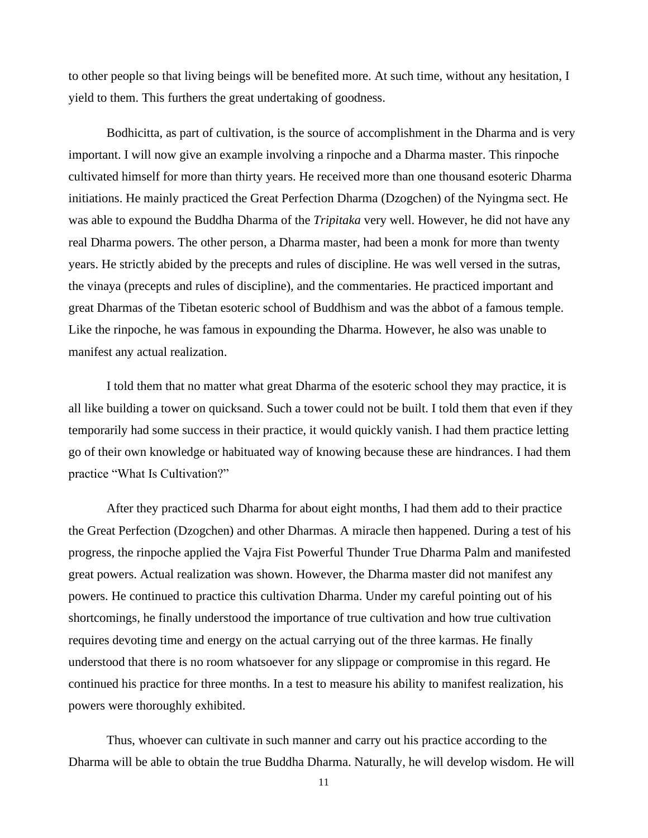to other people so that living beings will be benefited more. At such time, without any hesitation, I yield to them. This furthers the great undertaking of goodness.

Bodhicitta, as part of cultivation, is the source of accomplishment in the Dharma and is very important. I will now give an example involving a rinpoche and a Dharma master. This rinpoche cultivated himself for more than thirty years. He received more than one thousand esoteric Dharma initiations. He mainly practiced the Great Perfection Dharma (Dzogchen) of the Nyingma sect. He was able to expound the Buddha Dharma of the *Tripitaka* very well. However, he did not have any real Dharma powers. The other person, a Dharma master, had been a monk for more than twenty years. He strictly abided by the precepts and rules of discipline. He was well versed in the sutras, the vinaya (precepts and rules of discipline), and the commentaries. He practiced important and great Dharmas of the Tibetan esoteric school of Buddhism and was the abbot of a famous temple. Like the rinpoche, he was famous in expounding the Dharma. However, he also was unable to manifest any actual realization.

I told them that no matter what great Dharma of the esoteric school they may practice, it is all like building a tower on quicksand. Such a tower could not be built. I told them that even if they temporarily had some success in their practice, it would quickly vanish. I had them practice letting go of their own knowledge or habituated way of knowing because these are hindrances. I had them practice "What Is Cultivation?"

After they practiced such Dharma for about eight months, I had them add to their practice the Great Perfection (Dzogchen) and other Dharmas. A miracle then happened. During a test of his progress, the rinpoche applied the Vajra Fist Powerful Thunder True Dharma Palm and manifested great powers. Actual realization was shown. However, the Dharma master did not manifest any powers. He continued to practice this cultivation Dharma. Under my careful pointing out of his shortcomings, he finally understood the importance of true cultivation and how true cultivation requires devoting time and energy on the actual carrying out of the three karmas. He finally understood that there is no room whatsoever for any slippage or compromise in this regard. He continued his practice for three months. In a test to measure his ability to manifest realization, his powers were thoroughly exhibited.

Thus, whoever can cultivate in such manner and carry out his practice according to the Dharma will be able to obtain the true Buddha Dharma. Naturally, he will develop wisdom. He will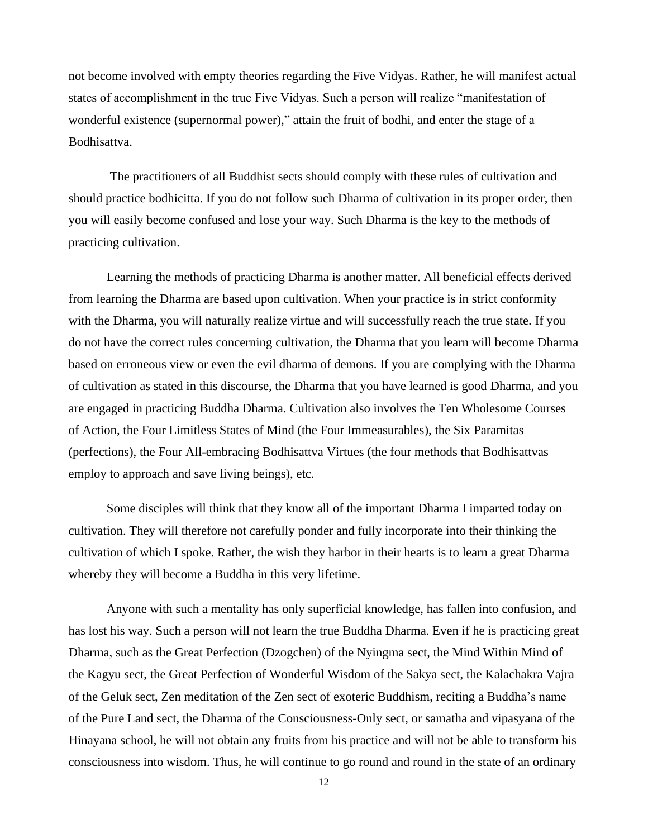not become involved with empty theories regarding the Five Vidyas. Rather, he will manifest actual states of accomplishment in the true Five Vidyas. Such a person will realize "manifestation of wonderful existence (supernormal power)," attain the fruit of bodhi, and enter the stage of a Bodhisattva.

The practitioners of all Buddhist sects should comply with these rules of cultivation and should practice bodhicitta. If you do not follow such Dharma of cultivation in its proper order, then you will easily become confused and lose your way. Such Dharma is the key to the methods of practicing cultivation.

Learning the methods of practicing Dharma is another matter. All beneficial effects derived from learning the Dharma are based upon cultivation. When your practice is in strict conformity with the Dharma, you will naturally realize virtue and will successfully reach the true state. If you do not have the correct rules concerning cultivation, the Dharma that you learn will become Dharma based on erroneous view or even the evil dharma of demons. If you are complying with the Dharma of cultivation as stated in this discourse, the Dharma that you have learned is good Dharma, and you are engaged in practicing Buddha Dharma. Cultivation also involves the Ten Wholesome Courses of Action, the Four Limitless States of Mind (the Four Immeasurables), the Six Paramitas (perfections), the Four All-embracing Bodhisattva Virtues (the four methods that Bodhisattvas employ to approach and save living beings), etc.

Some disciples will think that they know all of the important Dharma I imparted today on cultivation. They will therefore not carefully ponder and fully incorporate into their thinking the cultivation of which I spoke. Rather, the wish they harbor in their hearts is to learn a great Dharma whereby they will become a Buddha in this very lifetime.

Anyone with such a mentality has only superficial knowledge, has fallen into confusion, and has lost his way. Such a person will not learn the true Buddha Dharma. Even if he is practicing great Dharma, such as the Great Perfection (Dzogchen) of the Nyingma sect, the Mind Within Mind of the Kagyu sect, the Great Perfection of Wonderful Wisdom of the Sakya sect, the Kalachakra Vajra of the Geluk sect, Zen meditation of the Zen sect of exoteric Buddhism, reciting a Buddha's name of the Pure Land sect, the Dharma of the Consciousness-Only sect, or samatha and vipasyana of the Hinayana school, he will not obtain any fruits from his practice and will not be able to transform his consciousness into wisdom. Thus, he will continue to go round and round in the state of an ordinary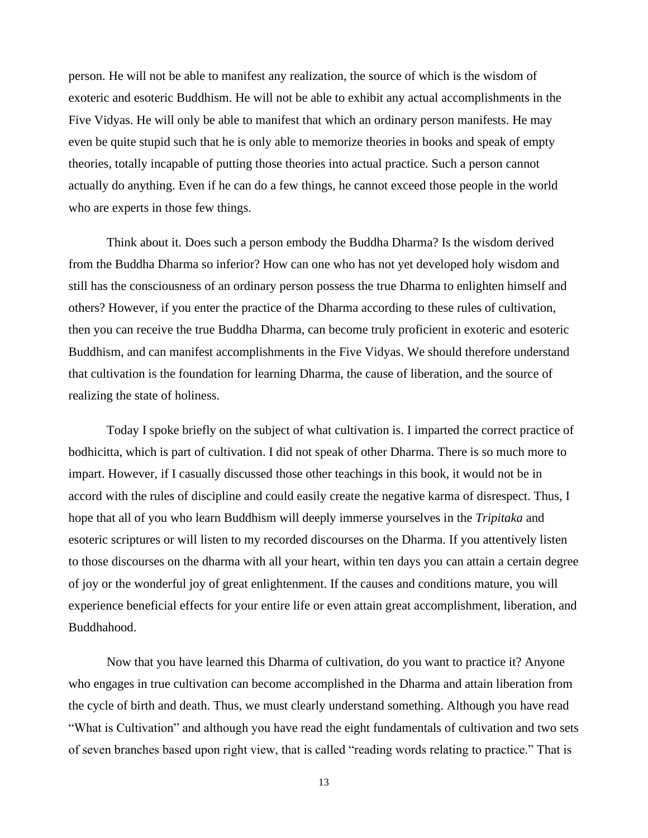person. He will not be able to manifest any realization, the source of which is the wisdom of exoteric and esoteric Buddhism. He will not be able to exhibit any actual accomplishments in the Five Vidyas. He will only be able to manifest that which an ordinary person manifests. He may even be quite stupid such that he is only able to memorize theories in books and speak of empty theories, totally incapable of putting those theories into actual practice. Such a person cannot actually do anything. Even if he can do a few things, he cannot exceed those people in the world who are experts in those few things.

Think about it. Does such a person embody the Buddha Dharma? Is the wisdom derived from the Buddha Dharma so inferior? How can one who has not yet developed holy wisdom and still has the consciousness of an ordinary person possess the true Dharma to enlighten himself and others? However, if you enter the practice of the Dharma according to these rules of cultivation, then you can receive the true Buddha Dharma, can become truly proficient in exoteric and esoteric Buddhism, and can manifest accomplishments in the Five Vidyas. We should therefore understand that cultivation is the foundation for learning Dharma, the cause of liberation, and the source of realizing the state of holiness.

Today I spoke briefly on the subject of what cultivation is. I imparted the correct practice of bodhicitta, which is part of cultivation. I did not speak of other Dharma. There is so much more to impart. However, if I casually discussed those other teachings in this book, it would not be in accord with the rules of discipline and could easily create the negative karma of disrespect. Thus, I hope that all of you who learn Buddhism will deeply immerse yourselves in the *Tripitaka* and esoteric scriptures or will listen to my recorded discourses on the Dharma. If you attentively listen to those discourses on the dharma with all your heart, within ten days you can attain a certain degree of joy or the wonderful joy of great enlightenment. If the causes and conditions mature, you will experience beneficial effects for your entire life or even attain great accomplishment, liberation, and Buddhahood.

Now that you have learned this Dharma of cultivation, do you want to practice it? Anyone who engages in true cultivation can become accomplished in the Dharma and attain liberation from the cycle of birth and death. Thus, we must clearly understand something. Although you have read "What is Cultivation" and although you have read the eight fundamentals of cultivation and two sets of seven branches based upon right view, that is called "reading words relating to practice." That is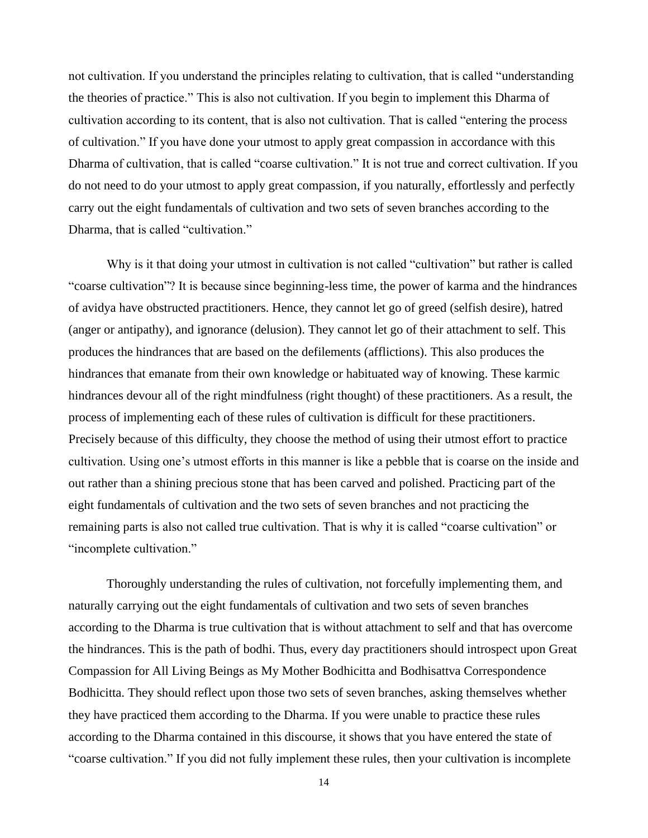not cultivation. If you understand the principles relating to cultivation, that is called "understanding the theories of practice." This is also not cultivation. If you begin to implement this Dharma of cultivation according to its content, that is also not cultivation. That is called "entering the process of cultivation." If you have done your utmost to apply great compassion in accordance with this Dharma of cultivation, that is called "coarse cultivation." It is not true and correct cultivation. If you do not need to do your utmost to apply great compassion, if you naturally, effortlessly and perfectly carry out the eight fundamentals of cultivation and two sets of seven branches according to the Dharma, that is called "cultivation."

Why is it that doing your utmost in cultivation is not called "cultivation" but rather is called "coarse cultivation"? It is because since beginning-less time, the power of karma and the hindrances of avidya have obstructed practitioners. Hence, they cannot let go of greed (selfish desire), hatred (anger or antipathy), and ignorance (delusion). They cannot let go of their attachment to self. This produces the hindrances that are based on the defilements (afflictions). This also produces the hindrances that emanate from their own knowledge or habituated way of knowing. These karmic hindrances devour all of the right mindfulness (right thought) of these practitioners. As a result, the process of implementing each of these rules of cultivation is difficult for these practitioners. Precisely because of this difficulty, they choose the method of using their utmost effort to practice cultivation. Using one's utmost efforts in this manner is like a pebble that is coarse on the inside and out rather than a shining precious stone that has been carved and polished. Practicing part of the eight fundamentals of cultivation and the two sets of seven branches and not practicing the remaining parts is also not called true cultivation. That is why it is called "coarse cultivation" or "incomplete cultivation."

Thoroughly understanding the rules of cultivation, not forcefully implementing them, and naturally carrying out the eight fundamentals of cultivation and two sets of seven branches according to the Dharma is true cultivation that is without attachment to self and that has overcome the hindrances. This is the path of bodhi. Thus, every day practitioners should introspect upon Great Compassion for All Living Beings as My Mother Bodhicitta and Bodhisattva Correspondence Bodhicitta. They should reflect upon those two sets of seven branches, asking themselves whether they have practiced them according to the Dharma. If you were unable to practice these rules according to the Dharma contained in this discourse, it shows that you have entered the state of "coarse cultivation." If you did not fully implement these rules, then your cultivation is incomplete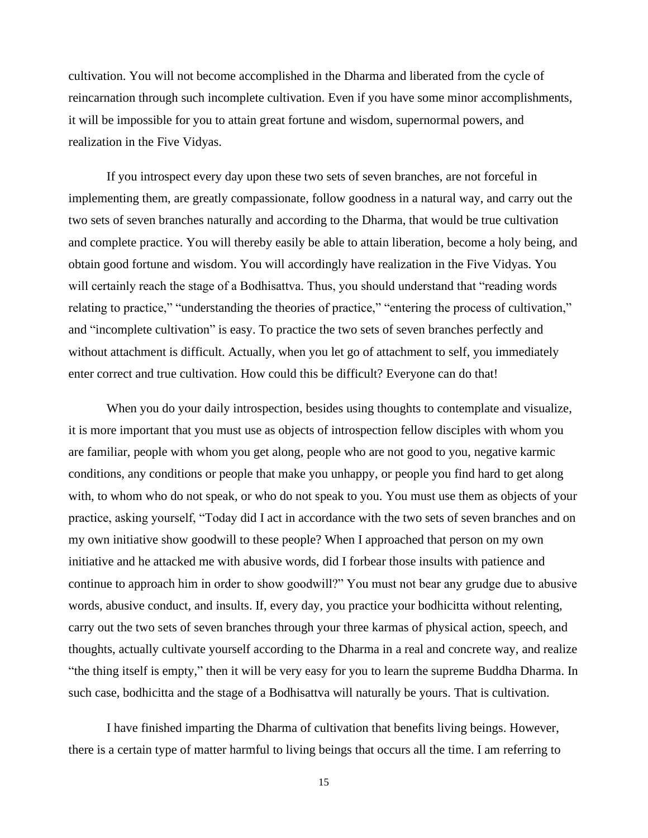cultivation. You will not become accomplished in the Dharma and liberated from the cycle of reincarnation through such incomplete cultivation. Even if you have some minor accomplishments, it will be impossible for you to attain great fortune and wisdom, supernormal powers, and realization in the Five Vidyas.

If you introspect every day upon these two sets of seven branches, are not forceful in implementing them, are greatly compassionate, follow goodness in a natural way, and carry out the two sets of seven branches naturally and according to the Dharma, that would be true cultivation and complete practice. You will thereby easily be able to attain liberation, become a holy being, and obtain good fortune and wisdom. You will accordingly have realization in the Five Vidyas. You will certainly reach the stage of a Bodhisattva. Thus, you should understand that "reading words relating to practice," "understanding the theories of practice," "entering the process of cultivation," and "incomplete cultivation" is easy. To practice the two sets of seven branches perfectly and without attachment is difficult. Actually, when you let go of attachment to self, you immediately enter correct and true cultivation. How could this be difficult? Everyone can do that!

When you do your daily introspection, besides using thoughts to contemplate and visualize, it is more important that you must use as objects of introspection fellow disciples with whom you are familiar, people with whom you get along, people who are not good to you, negative karmic conditions, any conditions or people that make you unhappy, or people you find hard to get along with, to whom who do not speak, or who do not speak to you. You must use them as objects of your practice, asking yourself, "Today did I act in accordance with the two sets of seven branches and on my own initiative show goodwill to these people? When I approached that person on my own initiative and he attacked me with abusive words, did I forbear those insults with patience and continue to approach him in order to show goodwill?" You must not bear any grudge due to abusive words, abusive conduct, and insults. If, every day, you practice your bodhicitta without relenting, carry out the two sets of seven branches through your three karmas of physical action, speech, and thoughts, actually cultivate yourself according to the Dharma in a real and concrete way, and realize "the thing itself is empty," then it will be very easy for you to learn the supreme Buddha Dharma. In such case, bodhicitta and the stage of a Bodhisattva will naturally be yours. That is cultivation.

I have finished imparting the Dharma of cultivation that benefits living beings. However, there is a certain type of matter harmful to living beings that occurs all the time. I am referring to